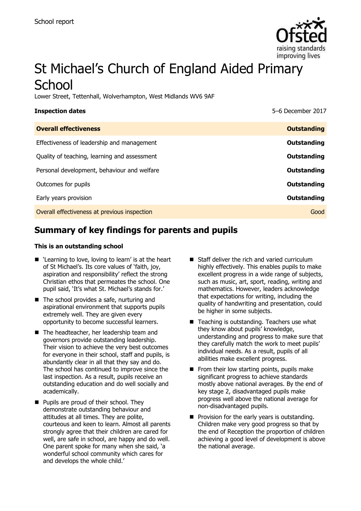

# St Michael's Church of England Aided Primary **School**

Lower Street, Tettenhall, Wolverhampton, West Midlands WV6 9AF

| <b>Inspection dates</b>                      | 5-6 December 2017  |
|----------------------------------------------|--------------------|
| <b>Overall effectiveness</b>                 | <b>Outstanding</b> |
| Effectiveness of leadership and management   | Outstanding        |
| Quality of teaching, learning and assessment | Outstanding        |
| Personal development, behaviour and welfare  | <b>Outstanding</b> |
| Outcomes for pupils                          | Outstanding        |
| Early years provision                        | Outstanding        |
| Overall effectiveness at previous inspection | Good               |
|                                              |                    |

# **Summary of key findings for parents and pupils**

#### **This is an outstanding school**

- 'Learning to love, loving to learn' is at the heart of St Michael's. Its core values of 'faith, joy, aspiration and responsibility' reflect the strong Christian ethos that permeates the school. One pupil said, 'It's what St. Michael's stands for.'
- The school provides a safe, nurturing and aspirational environment that supports pupils extremely well. They are given every opportunity to become successful learners.
- The headteacher, her leadership team and governors provide outstanding leadership. Their vision to achieve the very best outcomes for everyone in their school, staff and pupils, is abundantly clear in all that they say and do. The school has continued to improve since the last inspection. As a result, pupils receive an outstanding education and do well socially and academically.
- **Pupils are proud of their school. They** demonstrate outstanding behaviour and attitudes at all times. They are polite, courteous and keen to learn. Almost all parents strongly agree that their children are cared for well, are safe in school, are happy and do well. One parent spoke for many when she said, 'a wonderful school community which cares for and develops the whole child.'
- Staff deliver the rich and varied curriculum highly effectively. This enables pupils to make excellent progress in a wide range of subjects, such as music, art, sport, reading, writing and mathematics. However, leaders acknowledge that expectations for writing, including the quality of handwriting and presentation, could be higher in some subjects.
- Teaching is outstanding. Teachers use what they know about pupils' knowledge, understanding and progress to make sure that they carefully match the work to meet pupils' individual needs. As a result, pupils of all abilities make excellent progress.
- $\blacksquare$  From their low starting points, pupils make significant progress to achieve standards mostly above national averages. By the end of key stage 2, disadvantaged pupils make progress well above the national average for non-disadvantaged pupils.
- $\blacksquare$  Provision for the early years is outstanding. Children make very good progress so that by the end of Reception the proportion of children achieving a good level of development is above the national average.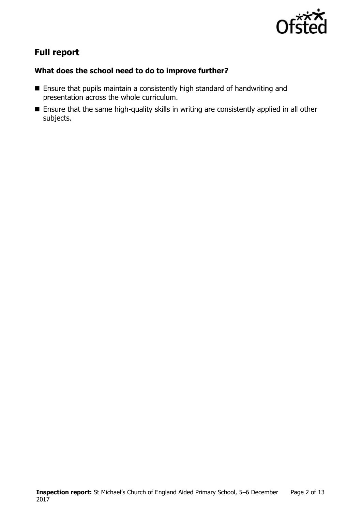

# **Full report**

### **What does the school need to do to improve further?**

- Ensure that pupils maintain a consistently high standard of handwriting and presentation across the whole curriculum.
- Ensure that the same high-quality skills in writing are consistently applied in all other subjects.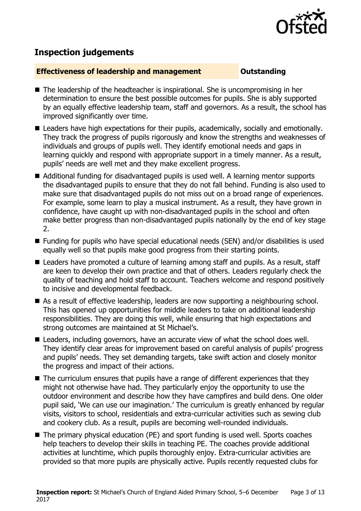

# **Inspection judgements**

#### **Effectiveness of leadership and management COULDER COULDER OUTSTANDING**

- $\blacksquare$  The leadership of the headteacher is inspirational. She is uncompromising in her determination to ensure the best possible outcomes for pupils. She is ably supported by an equally effective leadership team, staff and governors. As a result, the school has improved significantly over time.
- Leaders have high expectations for their pupils, academically, socially and emotionally. They track the progress of pupils rigorously and know the strengths and weaknesses of individuals and groups of pupils well. They identify emotional needs and gaps in learning quickly and respond with appropriate support in a timely manner. As a result, pupils' needs are well met and they make excellent progress.
- Additional funding for disadvantaged pupils is used well. A learning mentor supports the disadvantaged pupils to ensure that they do not fall behind. Funding is also used to make sure that disadvantaged pupils do not miss out on a broad range of experiences. For example, some learn to play a musical instrument. As a result, they have grown in confidence, have caught up with non-disadvantaged pupils in the school and often make better progress than non-disadvantaged pupils nationally by the end of key stage 2.
- Funding for pupils who have special educational needs (SEN) and/or disabilities is used equally well so that pupils make good progress from their starting points.
- Leaders have promoted a culture of learning among staff and pupils. As a result, staff are keen to develop their own practice and that of others. Leaders regularly check the quality of teaching and hold staff to account. Teachers welcome and respond positively to incisive and developmental feedback.
- As a result of effective leadership, leaders are now supporting a neighbouring school. This has opened up opportunities for middle leaders to take on additional leadership responsibilities. They are doing this well, while ensuring that high expectations and strong outcomes are maintained at St Michael's.
- Leaders, including governors, have an accurate view of what the school does well. They identify clear areas for improvement based on careful analysis of pupils' progress and pupils' needs. They set demanding targets, take swift action and closely monitor the progress and impact of their actions.
- The curriculum ensures that pupils have a range of different experiences that they might not otherwise have had. They particularly enjoy the opportunity to use the outdoor environment and describe how they have campfires and build dens. One older pupil said, 'We can use our imagination.' The curriculum is greatly enhanced by regular visits, visitors to school, residentials and extra-curricular activities such as sewing club and cookery club. As a result, pupils are becoming well-rounded individuals.
- The primary physical education (PE) and sport funding is used well. Sports coaches help teachers to develop their skills in teaching PE. The coaches provide additional activities at lunchtime, which pupils thoroughly enjoy. Extra-curricular activities are provided so that more pupils are physically active. Pupils recently requested clubs for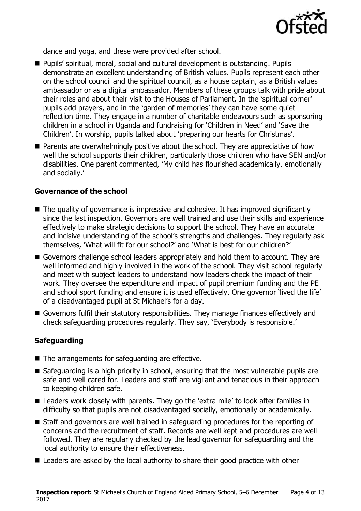

dance and yoga, and these were provided after school.

- Pupils' spiritual, moral, social and cultural development is outstanding. Pupils demonstrate an excellent understanding of British values. Pupils represent each other on the school council and the spiritual council, as a house captain, as a British values ambassador or as a digital ambassador. Members of these groups talk with pride about their roles and about their visit to the Houses of Parliament. In the 'spiritual corner' pupils add prayers, and in the 'garden of memories' they can have some quiet reflection time. They engage in a number of charitable endeavours such as sponsoring children in a school in Uganda and fundraising for 'Children in Need' and 'Save the Children'. In worship, pupils talked about 'preparing our hearts for Christmas'.
- **Parents are overwhelmingly positive about the school. They are appreciative of how** well the school supports their children, particularly those children who have SEN and/or disabilities. One parent commented, 'My child has flourished academically, emotionally and socially.'

### **Governance of the school**

- The quality of governance is impressive and cohesive. It has improved significantly since the last inspection. Governors are well trained and use their skills and experience effectively to make strategic decisions to support the school. They have an accurate and incisive understanding of the school's strengths and challenges. They regularly ask themselves, 'What will fit for our school?' and 'What is best for our children?'
- Governors challenge school leaders appropriately and hold them to account. They are well informed and highly involved in the work of the school. They visit school regularly and meet with subject leaders to understand how leaders check the impact of their work. They oversee the expenditure and impact of pupil premium funding and the PE and school sport funding and ensure it is used effectively. One governor 'lived the life' of a disadvantaged pupil at St Michael's for a day.
- Governors fulfil their statutory responsibilities. They manage finances effectively and check safeguarding procedures regularly. They say, 'Everybody is responsible.'

### **Safeguarding**

- The arrangements for safeguarding are effective.
- Safeguarding is a high priority in school, ensuring that the most vulnerable pupils are safe and well cared for. Leaders and staff are vigilant and tenacious in their approach to keeping children safe.
- Leaders work closely with parents. They go the 'extra mile' to look after families in difficulty so that pupils are not disadvantaged socially, emotionally or academically.
- Staff and governors are well trained in safeguarding procedures for the reporting of concerns and the recruitment of staff. Records are well kept and procedures are well followed. They are regularly checked by the lead governor for safeguarding and the local authority to ensure their effectiveness.
- Leaders are asked by the local authority to share their good practice with other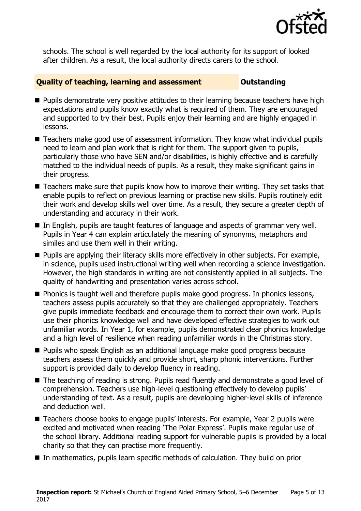

schools. The school is well regarded by the local authority for its support of looked after children. As a result, the local authority directs carers to the school.

#### **Quality of teaching, learning and assessment Outstanding**

- **Pupils demonstrate very positive attitudes to their learning because teachers have high** expectations and pupils know exactly what is required of them. They are encouraged and supported to try their best. Pupils enjoy their learning and are highly engaged in lessons.
- Teachers make good use of assessment information. They know what individual pupils need to learn and plan work that is right for them. The support given to pupils, particularly those who have SEN and/or disabilities, is highly effective and is carefully matched to the individual needs of pupils. As a result, they make significant gains in their progress.
- Teachers make sure that pupils know how to improve their writing. They set tasks that enable pupils to reflect on previous learning or practise new skills. Pupils routinely edit their work and develop skills well over time. As a result, they secure a greater depth of understanding and accuracy in their work.
- In English, pupils are taught features of language and aspects of grammar very well. Pupils in Year 4 can explain articulately the meaning of synonyms, metaphors and similes and use them well in their writing.
- **Pupils are applying their literacy skills more effectively in other subjects. For example,** in science, pupils used instructional writing well when recording a science investigation. However, the high standards in writing are not consistently applied in all subjects. The quality of handwriting and presentation varies across school.
- **Phonics is taught well and therefore pupils make good progress. In phonics lessons,** teachers assess pupils accurately so that they are challenged appropriately. Teachers give pupils immediate feedback and encourage them to correct their own work. Pupils use their phonics knowledge well and have developed effective strategies to work out unfamiliar words. In Year 1, for example, pupils demonstrated clear phonics knowledge and a high level of resilience when reading unfamiliar words in the Christmas story.
- **Pupils who speak English as an additional language make good progress because** teachers assess them quickly and provide short, sharp phonic interventions. Further support is provided daily to develop fluency in reading.
- The teaching of reading is strong. Pupils read fluently and demonstrate a good level of comprehension. Teachers use high-level questioning effectively to develop pupils' understanding of text. As a result, pupils are developing higher-level skills of inference and deduction well.
- Teachers choose books to engage pupils' interests. For example, Year 2 pupils were excited and motivated when reading 'The Polar Express'. Pupils make regular use of the school library. Additional reading support for vulnerable pupils is provided by a local charity so that they can practise more frequently.
- In mathematics, pupils learn specific methods of calculation. They build on prior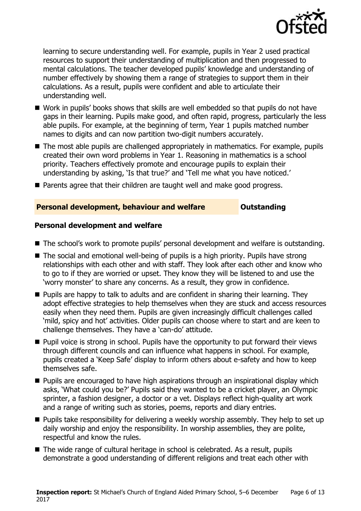

learning to secure understanding well. For example, pupils in Year 2 used practical resources to support their understanding of multiplication and then progressed to mental calculations. The teacher developed pupils' knowledge and understanding of number effectively by showing them a range of strategies to support them in their calculations. As a result, pupils were confident and able to articulate their understanding well.

- Work in pupils' books shows that skills are well embedded so that pupils do not have gaps in their learning. Pupils make good, and often rapid, progress, particularly the less able pupils. For example, at the beginning of term, Year 1 pupils matched number names to digits and can now partition two-digit numbers accurately.
- The most able pupils are challenged appropriately in mathematics. For example, pupils created their own word problems in Year 1. Reasoning in mathematics is a school priority. Teachers effectively promote and encourage pupils to explain their understanding by asking, 'Is that true?' and 'Tell me what you have noticed.'
- Parents agree that their children are taught well and make good progress.

#### **Personal development, behaviour and welfare <b>COUTS** Outstanding

#### **Personal development and welfare**

- The school's work to promote pupils' personal development and welfare is outstanding.
- The social and emotional well-being of pupils is a high priority. Pupils have strong relationships with each other and with staff. They look after each other and know who to go to if they are worried or upset. They know they will be listened to and use the 'worry monster' to share any concerns. As a result, they grow in confidence.
- $\blacksquare$  Pupils are happy to talk to adults and are confident in sharing their learning. They adopt effective strategies to help themselves when they are stuck and access resources easily when they need them. Pupils are given increasingly difficult challenges called 'mild, spicy and hot' activities. Older pupils can choose where to start and are keen to challenge themselves. They have a 'can-do' attitude.
- **Pupil voice is strong in school. Pupils have the opportunity to put forward their views** through different councils and can influence what happens in school. For example, pupils created a 'Keep Safe' display to inform others about e-safety and how to keep themselves safe.
- **Pupils are encouraged to have high aspirations through an inspirational display which** asks, 'What could you be?' Pupils said they wanted to be a cricket player, an Olympic sprinter, a fashion designer, a doctor or a vet. Displays reflect high-quality art work and a range of writing such as stories, poems, reports and diary entries.
- **Pupils take responsibility for delivering a weekly worship assembly. They help to set up** daily worship and enjoy the responsibility. In worship assemblies, they are polite, respectful and know the rules.
- The wide range of cultural heritage in school is celebrated. As a result, pupils demonstrate a good understanding of different religions and treat each other with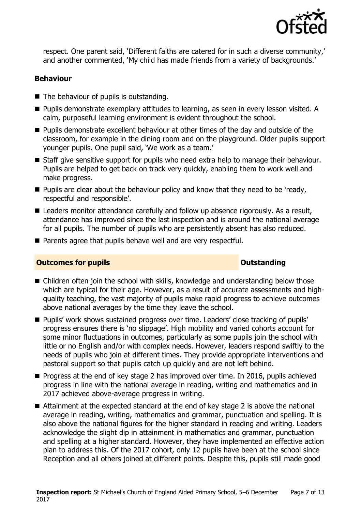

respect. One parent said, 'Different faiths are catered for in such a diverse community,' and another commented, 'My child has made friends from a variety of backgrounds.'

#### **Behaviour**

- The behaviour of pupils is outstanding.
- **Pupils demonstrate exemplary attitudes to learning, as seen in every lesson visited. A** calm, purposeful learning environment is evident throughout the school.
- **Pupils demonstrate excellent behaviour at other times of the day and outside of the** classroom, for example in the dining room and on the playground. Older pupils support younger pupils. One pupil said, 'We work as a team.'
- Staff give sensitive support for pupils who need extra help to manage their behaviour. Pupils are helped to get back on track very quickly, enabling them to work well and make progress.
- $\blacksquare$  Pupils are clear about the behaviour policy and know that they need to be 'ready, respectful and responsible'.
- Leaders monitor attendance carefully and follow up absence rigorously. As a result, attendance has improved since the last inspection and is around the national average for all pupils. The number of pupils who are persistently absent has also reduced.
- Parents agree that pupils behave well and are very respectful.

#### **Outcomes for pupils Outstanding**

- Children often join the school with skills, knowledge and understanding below those which are typical for their age. However, as a result of accurate assessments and highquality teaching, the vast majority of pupils make rapid progress to achieve outcomes above national averages by the time they leave the school.
- **Pupils' work shows sustained progress over time. Leaders' close tracking of pupils'** progress ensures there is 'no slippage'. High mobility and varied cohorts account for some minor fluctuations in outcomes, particularly as some pupils join the school with little or no English and/or with complex needs. However, leaders respond swiftly to the needs of pupils who join at different times. They provide appropriate interventions and pastoral support so that pupils catch up quickly and are not left behind.
- **Progress at the end of key stage 2 has improved over time. In 2016, pupils achieved** progress in line with the national average in reading, writing and mathematics and in 2017 achieved above-average progress in writing.
- Attainment at the expected standard at the end of key stage 2 is above the national average in reading, writing, mathematics and grammar, punctuation and spelling. It is also above the national figures for the higher standard in reading and writing. Leaders acknowledge the slight dip in attainment in mathematics and grammar, punctuation and spelling at a higher standard. However, they have implemented an effective action plan to address this. Of the 2017 cohort, only 12 pupils have been at the school since Reception and all others joined at different points. Despite this, pupils still made good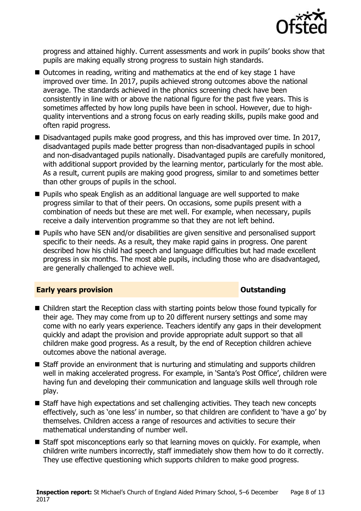

progress and attained highly. Current assessments and work in pupils' books show that pupils are making equally strong progress to sustain high standards.

- Outcomes in reading, writing and mathematics at the end of key stage 1 have improved over time. In 2017, pupils achieved strong outcomes above the national average. The standards achieved in the phonics screening check have been consistently in line with or above the national figure for the past five years. This is sometimes affected by how long pupils have been in school. However, due to highquality interventions and a strong focus on early reading skills, pupils make good and often rapid progress.
- **Disadvantaged pupils make good progress, and this has improved over time. In 2017,** disadvantaged pupils made better progress than non-disadvantaged pupils in school and non-disadvantaged pupils nationally. Disadvantaged pupils are carefully monitored, with additional support provided by the learning mentor, particularly for the most able. As a result, current pupils are making good progress, similar to and sometimes better than other groups of pupils in the school.
- **Pupils who speak English as an additional language are well supported to make** progress similar to that of their peers. On occasions, some pupils present with a combination of needs but these are met well. For example, when necessary, pupils receive a daily intervention programme so that they are not left behind.
- **Pupils who have SEN and/or disabilities are given sensitive and personalised support** specific to their needs. As a result, they make rapid gains in progress. One parent described how his child had speech and language difficulties but had made excellent progress in six months. The most able pupils, including those who are disadvantaged, are generally challenged to achieve well.

#### **Early years provision CONSTANDING TO A RESEARCH CONSTANDING TO A RESEARCH CONSTANDING TO A RESEARCH CONSTANDING TO A RESEARCH CONSTANDING TO A RESEARCH CONSTANDING TO A RESEARCH CONSTANDING TO A RESEARCH CONSTANDING TO**

- Children start the Reception class with starting points below those found typically for their age. They may come from up to 20 different nursery settings and some may come with no early years experience. Teachers identify any gaps in their development quickly and adapt the provision and provide appropriate adult support so that all children make good progress. As a result, by the end of Reception children achieve outcomes above the national average.
- Staff provide an environment that is nurturing and stimulating and supports children well in making accelerated progress. For example, in 'Santa's Post Office', children were having fun and developing their communication and language skills well through role play.
- Staff have high expectations and set challenging activities. They teach new concepts effectively, such as 'one less' in number, so that children are confident to 'have a go' by themselves. Children access a range of resources and activities to secure their mathematical understanding of number well.
- Staff spot misconceptions early so that learning moves on quickly. For example, when children write numbers incorrectly, staff immediately show them how to do it correctly. They use effective questioning which supports children to make good progress.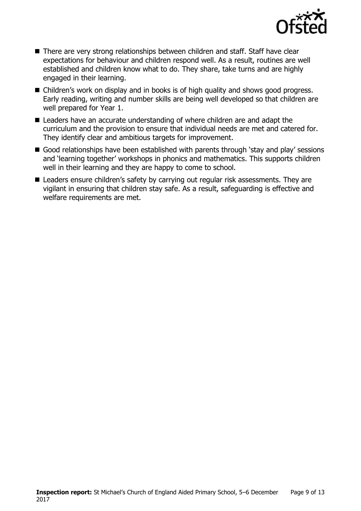

- There are very strong relationships between children and staff. Staff have clear expectations for behaviour and children respond well. As a result, routines are well established and children know what to do. They share, take turns and are highly engaged in their learning.
- Children's work on display and in books is of high quality and shows good progress. Early reading, writing and number skills are being well developed so that children are well prepared for Year 1.
- Leaders have an accurate understanding of where children are and adapt the curriculum and the provision to ensure that individual needs are met and catered for. They identify clear and ambitious targets for improvement.
- Good relationships have been established with parents through 'stay and play' sessions and 'learning together' workshops in phonics and mathematics. This supports children well in their learning and they are happy to come to school.
- Leaders ensure children's safety by carrying out regular risk assessments. They are vigilant in ensuring that children stay safe. As a result, safeguarding is effective and welfare requirements are met.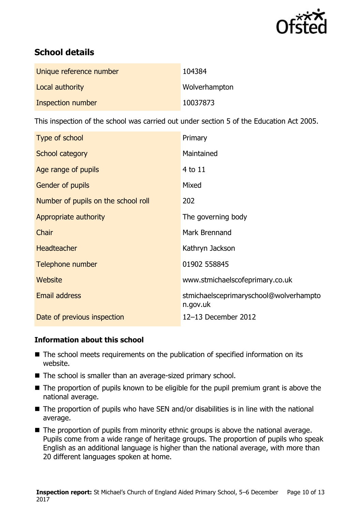

# **School details**

| Unique reference number | 104384        |
|-------------------------|---------------|
| Local authority         | Wolverhampton |
| Inspection number       | 10037873      |

This inspection of the school was carried out under section 5 of the Education Act 2005.

| Type of school                      | Primary                                            |
|-------------------------------------|----------------------------------------------------|
| School category                     | Maintained                                         |
| Age range of pupils                 | 4 to 11                                            |
| <b>Gender of pupils</b>             | Mixed                                              |
| Number of pupils on the school roll | 202                                                |
| Appropriate authority               | The governing body                                 |
| Chair                               | Mark Brennand                                      |
| <b>Headteacher</b>                  | Kathryn Jackson                                    |
| Telephone number                    | 01902 558845                                       |
| Website                             | www.stmichaelscofeprimary.co.uk                    |
| Email address                       | stmichaelsceprimaryschool@wolverhampto<br>n.gov.uk |
| Date of previous inspection         | 12-13 December 2012                                |

### **Information about this school**

- The school meets requirements on the publication of specified information on its website.
- The school is smaller than an average-sized primary school.
- The proportion of pupils known to be eligible for the pupil premium grant is above the national average.
- The proportion of pupils who have SEN and/or disabilities is in line with the national average.
- The proportion of pupils from minority ethnic groups is above the national average. Pupils come from a wide range of heritage groups. The proportion of pupils who speak English as an additional language is higher than the national average, with more than 20 different languages spoken at home.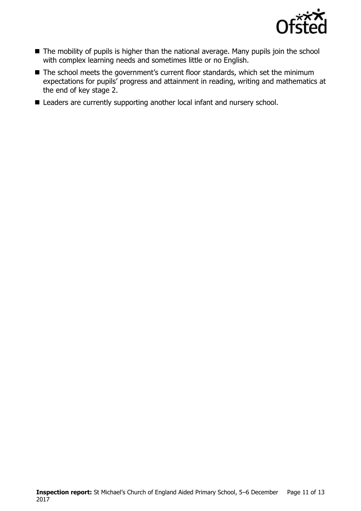

- The mobility of pupils is higher than the national average. Many pupils join the school with complex learning needs and sometimes little or no English.
- The school meets the government's current floor standards, which set the minimum expectations for pupils' progress and attainment in reading, writing and mathematics at the end of key stage 2.
- Leaders are currently supporting another local infant and nursery school.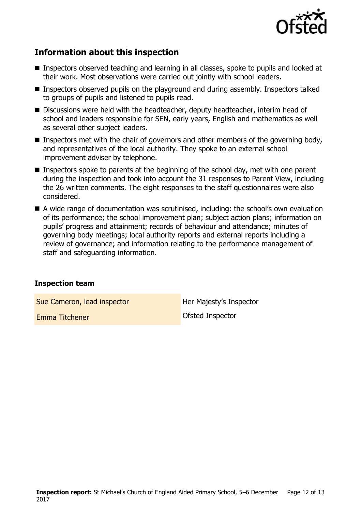

# **Information about this inspection**

- Inspectors observed teaching and learning in all classes, spoke to pupils and looked at their work. Most observations were carried out jointly with school leaders.
- **Inspectors observed pupils on the playground and during assembly. Inspectors talked** to groups of pupils and listened to pupils read.
- Discussions were held with the headteacher, deputy headteacher, interim head of school and leaders responsible for SEN, early years, English and mathematics as well as several other subject leaders.
- Inspectors met with the chair of governors and other members of the governing body, and representatives of the local authority. They spoke to an external school improvement adviser by telephone.
- Inspectors spoke to parents at the beginning of the school day, met with one parent during the inspection and took into account the 31 responses to Parent View, including the 26 written comments. The eight responses to the staff questionnaires were also considered.
- A wide range of documentation was scrutinised, including: the school's own evaluation of its performance; the school improvement plan; subject action plans; information on pupils' progress and attainment; records of behaviour and attendance; minutes of governing body meetings; local authority reports and external reports including a review of governance; and information relating to the performance management of staff and safeguarding information.

#### **Inspection team**

Sue Cameron, lead inspector **Her Majesty's Inspector** 

**Emma Titchener Constanting Constanting Constanting Constanting Constanting Constanting Constanting Constanting Constanting Constanting Constanting Constanting Constanting Constanting Constanting Constanting Constanting**